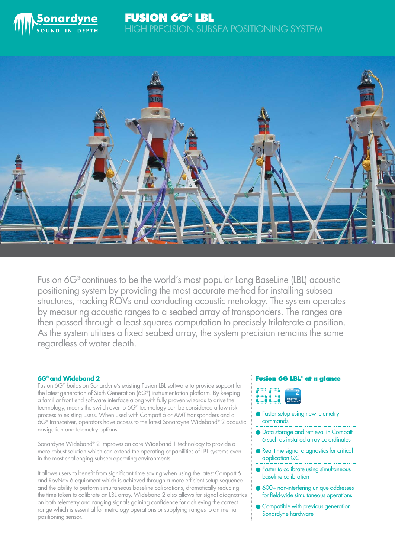



Fusion 6G® continues to be the world's most popular Long BaseLine (LBL) acoustic positioning system by providing the most accurate method for installing subsea structures, tracking ROVs and conducting acoustic metrology. The system operates by measuring acoustic ranges to a seabed array of transponders. The ranges are then passed through a least squares computation to precisely trilaterate a position. As the system utilises a fixed seabed array, the system precision remains the same regardless of water depth.

## **6G® and Wideband 2**

Fusion 6G® builds on Sonardyne's existing Fusion LBL software to provide support for the latest generation of Sixth Generation (6G®) instrumentation platform. By keeping a familiar front end software interface along with fully proven wizards to drive the technology, means the switch-over to 6G® technology can be considered a low risk process to existing users. When used with Compatt 6 or AMT transponders and a 6G® transceiver, operators have access to the latest Sonardyne Wideband® 2 acoustic navigation and telemetry options.

Sonardyne Wideband® 2 improves on core Wideband 1 technology to provide a more robust solution which can extend the operating capabilities of LBL systems even in the most challenging subsea operating environments.

It allows users to benefit from significant time saving when using the latest Compatt 6 and RovNav 6 equipment which is achieved through a more efficient setup sequence and the ability to perform simultaneous baseline calibrations, dramatically reducing the time taken to calibrate an LBL array. Wideband 2 also allows for signal diagnostics on both telemetry and ranging signals gaining confidence for achieving the correct range which is essential for metrology operations or supplying ranges to an inertial positioning sensor.

## **Fusion 6G LBL® at a glance**



- Faster setup using new telemetry commands
- Data storage and retrieval in Compatt 6 such as installed array co-ordinates
- Real time signal diagnostics for critical application QC
- Faster to calibrate using simultaneous baseline calibration
- 600+ non-interfering unique addresses for field-wide simultaneous operations
- Compatible with previous generation Sonardyne hardware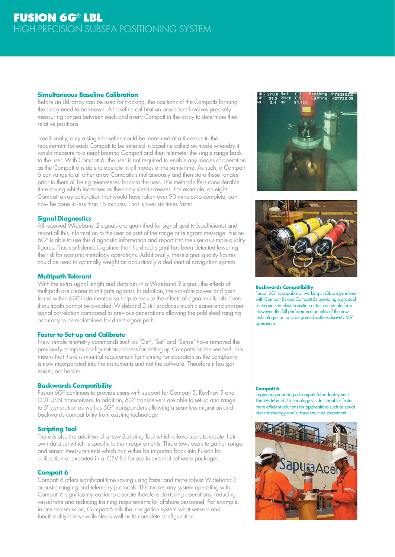## **Simultaneous Baseline Calibration**

Before an LBL array can be used for tracking, the positions of the Compatts forming the array need to be known. A baseline calibration procedure involves precisely measuring ranges between each and every Compatt in the array to determine their relative positions.

Traditionally, only a single baseline could be measured at a time due to the requirement for each Compatt to be initiated in baseline collection mode whereby it would measure to a neighbouring Compatt and then telemeter the single range back to the user. With Compatt 6, the user is not required to enable any modes of operation as the Compatt 6 is able to operate in all modes at the same time. As such, a Compatt 6 can range to all other array Compatts simultaneously and then store these ranges prior to them all being telemetered back to the user. This method offers considerable time saving which increases as the array size increases. For example, an eight Compatt array calibration that would have taken over 90 minutes to complete, can now be done in less than 15 minutes. That is over six times faster.

# **Signal Diagnostics**

All received Wideband 2 signals are quantified for signal quality (coefficients) and report all this information to the user as part of the range or telegram message. Fusion 6G® is able to use this diagnostic information and report it to the user as simple quality figures. Thus confidence is gained that the direct signal has been detected lowering the risk for acoustic metrology operations. Additionally, these signal quality figures could be used to optimally weight an acoustically aided inertial navigation system.

## **Multipath Tolerant**

With the extra signal length and data bits in a Wideband 2 signal, the effects of multipath are clearer to mitigate against. In addition, the variable power and gain found within 6G® instruments also help to reduce the effects of signal multipath. Even if multipath cannot be avoided, Wideband 2 still produces much cleaner and sharper signal correlation compared to previous generations allowing the published ranging accuracy to be maintained for direct signal path.

## **Faster to Set-up and Calibrate**

New simple telemetry commands such as 'Get', 'Set' and 'Sense' have removed the previously complex configuration process for setting up Compatts on the seabed. This means that there is minimal requirement for training for operators as the complexity is now incorporated into the instruments and not the software. Therefore it has got easier, not harder.

## **Backwards Compatibility**

Fusion 6G® continues to provide users with support for Compatt 5, RovNav 5 and GDT USBL transceivers. In addition, 6G® transceivers are able to set-up and range to 5<sup>th</sup> generation as well as 6G<sup>®</sup> transponders allowing a seamless migration and backwards compatibility from existing technology.

## **Scripting Tool**

There is also the addition of a new Scripting Tool which allows users to create their own data set which is specific to their requirements. This allows users to gather range and sensor measurements which can either be imported back into Fusion for calibration or exported in a .CSV file for use in external software packages.

## **Compatt 6**

Compatt 6 offers significant time saving using faster and more robust Wideband 2 acoustic ranging and telemetry protocols. This makes any system operating with Compatt 6 significantly easier to operate therefore de-risking operations, reducing vessel time and reducing training requirements for offshore personnel. For example, in one transmission, Compatt 6 tells the navigation system what sensors and functionality it has available as well as its complete configuration.





#### **Backwards Compatibility**

Fusion 6G® is capable of working in LBL arrays mixed with Compatt 5s and Compatt 6s providing a gradual route and seamless transition onto the new platform. However, the full performance benefits of the new technology can only be gained with exclusively 6G® operations.

#### **Compatt 6**

Engineers preparing a Compatt 6 for deployment. The Wideband 2 technology inside it enables faster, more efficient solutions for applications such as spool piece metrology and subsea structure placement.

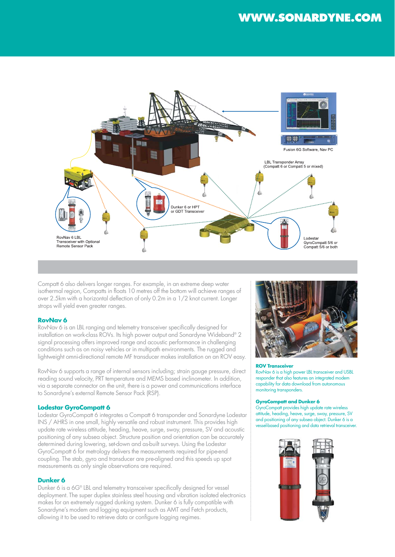

Compatt 6 also delivers longer ranges. For example, in an extreme deep water isothermal region, Compatts in floats 10 metres off the bottom will achieve ranges of over 2.5km with a horizontal deflection of only 0.2m in a 1/2 knot current. Longer strops will yield even greater ranges.

## **RovNav 6**

RovNav 6 is an LBL ranging and telemetry transceiver specifically designed for installation on work-class ROVs. Its high power output and Sonardyne Wideband® 2 signal processing offers improved range and acoustic performance in challenging conditions such as on noisy vehicles or in multipath environments. The rugged and lightweight omni-directional remote MF transducer makes installation on an ROV easy.

RovNav 6 supports a range of internal sensors including; strain gauge pressure, direct reading sound velocity, PRT temperature and MEMS based inclinometer. In addition, via a separate connector on the unit, there is a power and communications interface to Sonardyne's external Remote Sensor Pack (RSP).

# **Lodestar GyroCompatt 6**

Lodestar GyroCompatt 6 integrates a Compatt 6 transponder and Sonardyne Lodestar INS / AHRS in one small, highly versatile and robust instrument. This provides high update rate wireless attitude, heading, heave, surge, sway, pressure, SV and acoustic positioning of any subsea object. Structure position and orientation can be accurately determined during lowering, set-down and as-built surveys. Using the Lodestar GyroCompatt 6 for metrology delivers the measurements required for pipe-end coupling. The stab, gyro and transducer are pre-aligned and this speeds up spot measurements as only single observations are required.

## **Dunker 6**

Dunker 6 is a 6G® LBL and telemetry transceiver specifically designed for vessel deployment. The super duplex stainless steel housing and vibration isolated electronics makes for an extremely rugged dunking system. Dunker 6 is fully compatible with Sonardyne's modem and logging equipment such as AMT and Fetch products, allowing it to be used to retrieve data or configure logging regimes.



## **ROV Transceiver**

RovNav 6 is a high power LBL transceiver and USBL responder that also features an integrated modem capability for data download from autonomous monitoring transponders.

#### **GyroCompatt and Dunker 6**

GyroCompatt provides high update rate wireless attitude, heading, heave, surge, sway, pressure, SV and positioning of any subsea object. Dunker 6 is a vessel-based positioning and data retrieval transceiver.